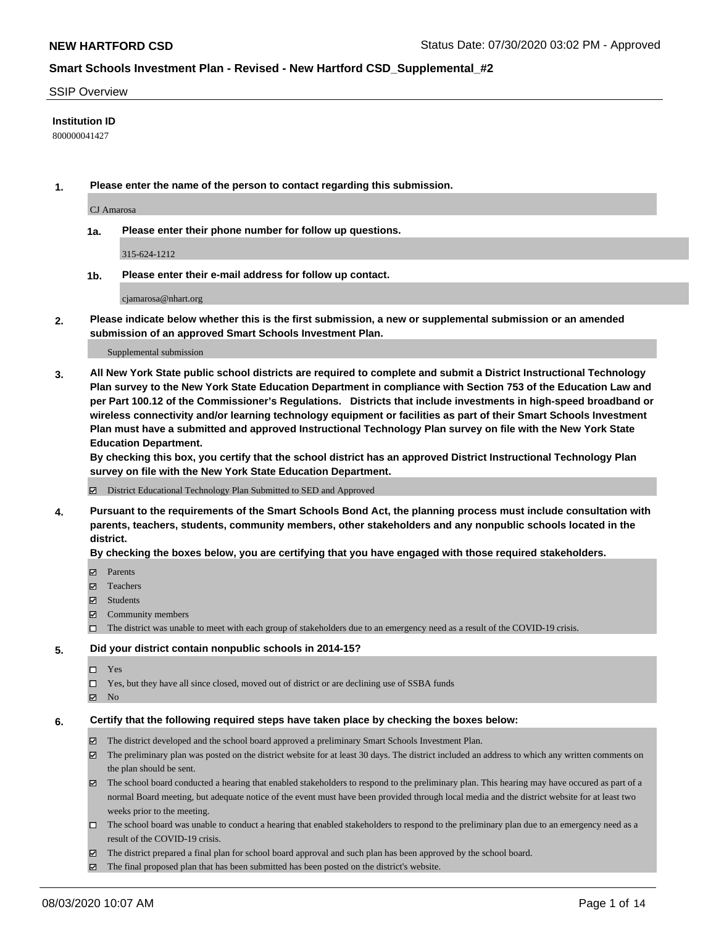### SSIP Overview

### **Institution ID**

800000041427

**1. Please enter the name of the person to contact regarding this submission.**

CJ Amarosa

**1a. Please enter their phone number for follow up questions.**

315-624-1212

**1b. Please enter their e-mail address for follow up contact.**

cjamarosa@nhart.org

**2. Please indicate below whether this is the first submission, a new or supplemental submission or an amended submission of an approved Smart Schools Investment Plan.**

#### Supplemental submission

**3. All New York State public school districts are required to complete and submit a District Instructional Technology Plan survey to the New York State Education Department in compliance with Section 753 of the Education Law and per Part 100.12 of the Commissioner's Regulations. Districts that include investments in high-speed broadband or wireless connectivity and/or learning technology equipment or facilities as part of their Smart Schools Investment Plan must have a submitted and approved Instructional Technology Plan survey on file with the New York State Education Department.** 

**By checking this box, you certify that the school district has an approved District Instructional Technology Plan survey on file with the New York State Education Department.**

District Educational Technology Plan Submitted to SED and Approved

**4. Pursuant to the requirements of the Smart Schools Bond Act, the planning process must include consultation with parents, teachers, students, community members, other stakeholders and any nonpublic schools located in the district.** 

### **By checking the boxes below, you are certifying that you have engaged with those required stakeholders.**

- **Ø** Parents
- Teachers
- Students
- $\boxtimes$  Community members
- The district was unable to meet with each group of stakeholders due to an emergency need as a result of the COVID-19 crisis.

### **5. Did your district contain nonpublic schools in 2014-15?**

- $\neg$  Yes
- Yes, but they have all since closed, moved out of district or are declining use of SSBA funds
- **Z** No

### **6. Certify that the following required steps have taken place by checking the boxes below:**

- The district developed and the school board approved a preliminary Smart Schools Investment Plan.
- $\boxtimes$  The preliminary plan was posted on the district website for at least 30 days. The district included an address to which any written comments on the plan should be sent.
- $\boxtimes$  The school board conducted a hearing that enabled stakeholders to respond to the preliminary plan. This hearing may have occured as part of a normal Board meeting, but adequate notice of the event must have been provided through local media and the district website for at least two weeks prior to the meeting.
- The school board was unable to conduct a hearing that enabled stakeholders to respond to the preliminary plan due to an emergency need as a result of the COVID-19 crisis.
- The district prepared a final plan for school board approval and such plan has been approved by the school board.
- $\boxtimes$  The final proposed plan that has been submitted has been posted on the district's website.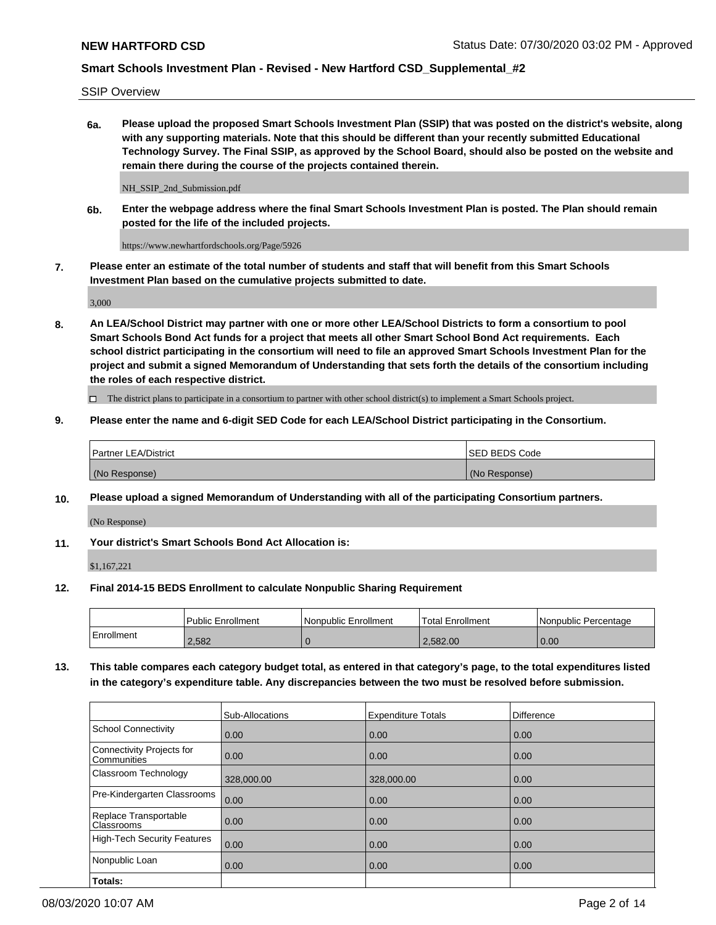SSIP Overview

**6a. Please upload the proposed Smart Schools Investment Plan (SSIP) that was posted on the district's website, along with any supporting materials. Note that this should be different than your recently submitted Educational Technology Survey. The Final SSIP, as approved by the School Board, should also be posted on the website and remain there during the course of the projects contained therein.**

NH\_SSIP\_2nd\_Submission.pdf

**6b. Enter the webpage address where the final Smart Schools Investment Plan is posted. The Plan should remain posted for the life of the included projects.**

https://www.newhartfordschools.org/Page/5926

**7. Please enter an estimate of the total number of students and staff that will benefit from this Smart Schools Investment Plan based on the cumulative projects submitted to date.**

3,000

**8. An LEA/School District may partner with one or more other LEA/School Districts to form a consortium to pool Smart Schools Bond Act funds for a project that meets all other Smart School Bond Act requirements. Each school district participating in the consortium will need to file an approved Smart Schools Investment Plan for the project and submit a signed Memorandum of Understanding that sets forth the details of the consortium including the roles of each respective district.**

 $\Box$  The district plans to participate in a consortium to partner with other school district(s) to implement a Smart Schools project.

## **9. Please enter the name and 6-digit SED Code for each LEA/School District participating in the Consortium.**

| Partner LEA/District | <b>ISED BEDS Code</b> |
|----------------------|-----------------------|
| (No Response)        | (No Response)         |

### **10. Please upload a signed Memorandum of Understanding with all of the participating Consortium partners.**

(No Response)

**11. Your district's Smart Schools Bond Act Allocation is:**

\$1,167,221

### **12. Final 2014-15 BEDS Enrollment to calculate Nonpublic Sharing Requirement**

|            | <b>Public Enrollment</b> | Nonpublic Enrollment | Total Enrollment | l Nonpublic Percentage |
|------------|--------------------------|----------------------|------------------|------------------------|
| Enrollment | 2,582                    |                      | 2.582.00         | 0.00                   |

**13. This table compares each category budget total, as entered in that category's page, to the total expenditures listed in the category's expenditure table. Any discrepancies between the two must be resolved before submission.**

|                                          | Sub-Allocations | <b>Expenditure Totals</b> | <b>Difference</b> |
|------------------------------------------|-----------------|---------------------------|-------------------|
| <b>School Connectivity</b>               | 0.00            | 0.00                      | 0.00              |
| Connectivity Projects for<br>Communities | 0.00            | 0.00                      | 0.00              |
| Classroom Technology                     | 328,000.00      | 328,000.00                | 0.00              |
| Pre-Kindergarten Classrooms              | 0.00            | 0.00                      | 0.00              |
| Replace Transportable<br>Classrooms      | 0.00            | 0.00                      | 0.00              |
| High-Tech Security Features              | 0.00            | 0.00                      | 0.00              |
| Nonpublic Loan                           | 0.00            | 0.00                      | 0.00              |
| Totals:                                  |                 |                           |                   |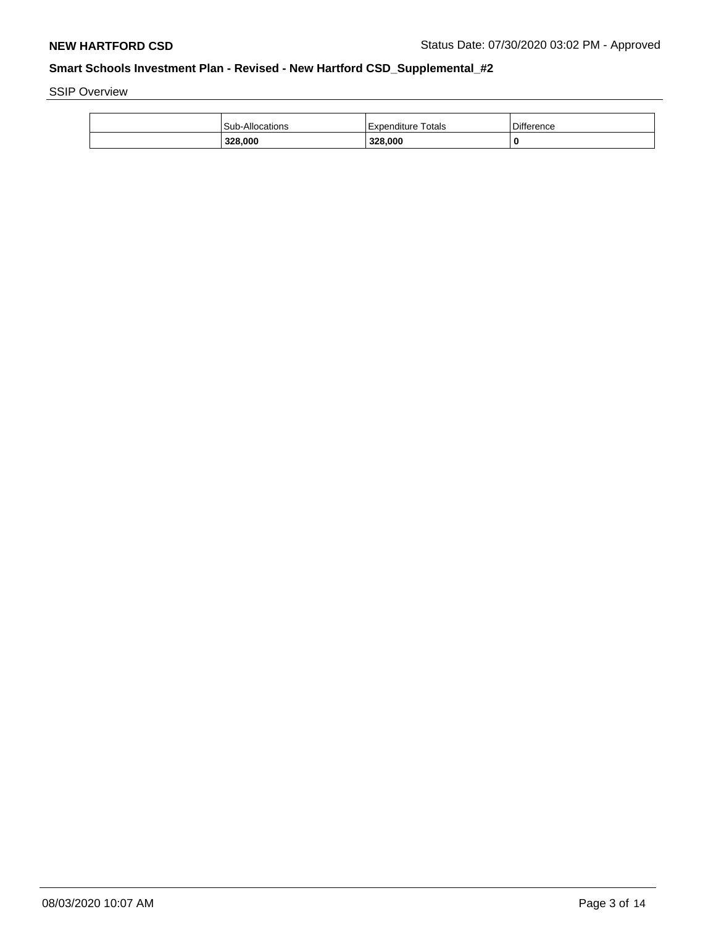SSIP Overview

| 328,000                | 328,000                   |            |
|------------------------|---------------------------|------------|
| <b>Sub-Allocations</b> | <b>Expenditure Totals</b> | Difference |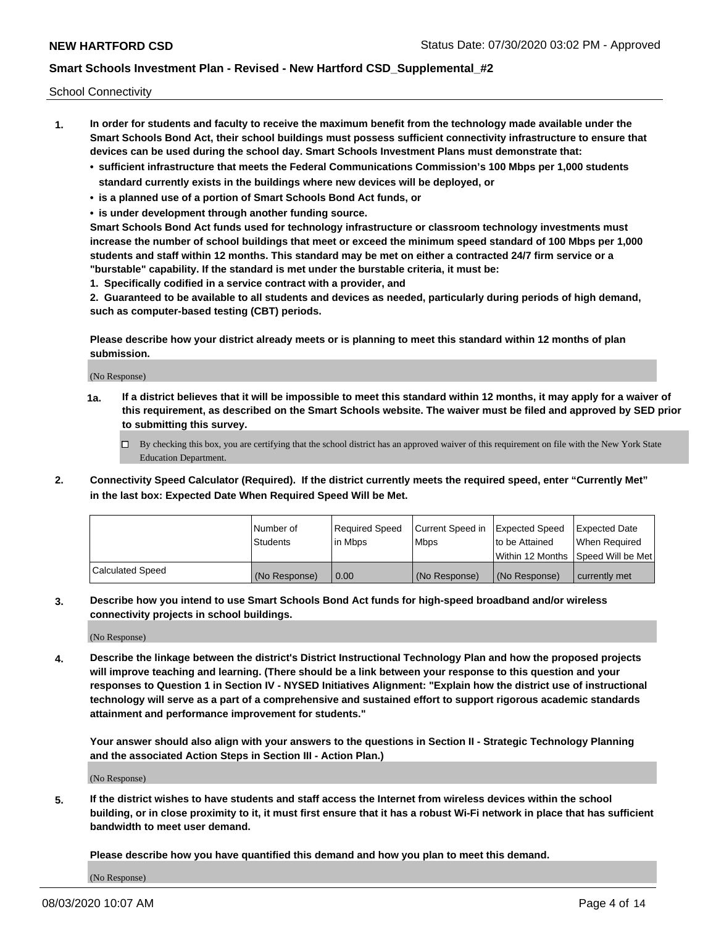School Connectivity

- **1. In order for students and faculty to receive the maximum benefit from the technology made available under the Smart Schools Bond Act, their school buildings must possess sufficient connectivity infrastructure to ensure that devices can be used during the school day. Smart Schools Investment Plans must demonstrate that:**
	- **• sufficient infrastructure that meets the Federal Communications Commission's 100 Mbps per 1,000 students standard currently exists in the buildings where new devices will be deployed, or**
	- **• is a planned use of a portion of Smart Schools Bond Act funds, or**
	- **• is under development through another funding source.**

**Smart Schools Bond Act funds used for technology infrastructure or classroom technology investments must increase the number of school buildings that meet or exceed the minimum speed standard of 100 Mbps per 1,000 students and staff within 12 months. This standard may be met on either a contracted 24/7 firm service or a "burstable" capability. If the standard is met under the burstable criteria, it must be:**

**1. Specifically codified in a service contract with a provider, and**

**2. Guaranteed to be available to all students and devices as needed, particularly during periods of high demand, such as computer-based testing (CBT) periods.**

**Please describe how your district already meets or is planning to meet this standard within 12 months of plan submission.**

(No Response)

**1a. If a district believes that it will be impossible to meet this standard within 12 months, it may apply for a waiver of this requirement, as described on the Smart Schools website. The waiver must be filed and approved by SED prior to submitting this survey.**

 $\Box$  By checking this box, you are certifying that the school district has an approved waiver of this requirement on file with the New York State Education Department.

**2. Connectivity Speed Calculator (Required). If the district currently meets the required speed, enter "Currently Met" in the last box: Expected Date When Required Speed Will be Met.**

|                  | l Number of     | Reauired Speed | Current Speed in Expected Speed |                | Expected Date                        |
|------------------|-----------------|----------------|---------------------------------|----------------|--------------------------------------|
|                  | <b>Students</b> | l in Mbps      | l Mbps                          | to be Attained | When Required                        |
|                  |                 |                |                                 |                | Within 12 Months   Speed Will be Met |
| Calculated Speed | (No Response)   | 0.00           | (No Response)                   | (No Response)  | currently met                        |

**3. Describe how you intend to use Smart Schools Bond Act funds for high-speed broadband and/or wireless connectivity projects in school buildings.**

(No Response)

**4. Describe the linkage between the district's District Instructional Technology Plan and how the proposed projects will improve teaching and learning. (There should be a link between your response to this question and your responses to Question 1 in Section IV - NYSED Initiatives Alignment: "Explain how the district use of instructional technology will serve as a part of a comprehensive and sustained effort to support rigorous academic standards attainment and performance improvement for students."** 

**Your answer should also align with your answers to the questions in Section II - Strategic Technology Planning and the associated Action Steps in Section III - Action Plan.)**

(No Response)

**5. If the district wishes to have students and staff access the Internet from wireless devices within the school building, or in close proximity to it, it must first ensure that it has a robust Wi-Fi network in place that has sufficient bandwidth to meet user demand.**

**Please describe how you have quantified this demand and how you plan to meet this demand.**

(No Response)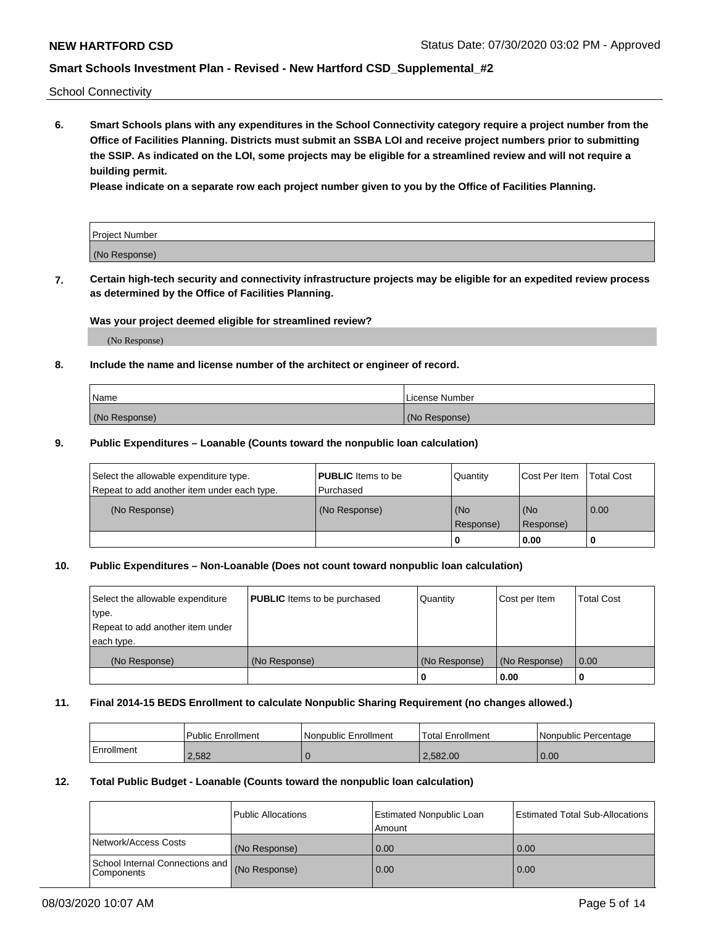School Connectivity

**6. Smart Schools plans with any expenditures in the School Connectivity category require a project number from the Office of Facilities Planning. Districts must submit an SSBA LOI and receive project numbers prior to submitting the SSIP. As indicated on the LOI, some projects may be eligible for a streamlined review and will not require a building permit.**

**Please indicate on a separate row each project number given to you by the Office of Facilities Planning.**

| Project Number |  |
|----------------|--|
| (No Response)  |  |

**7. Certain high-tech security and connectivity infrastructure projects may be eligible for an expedited review process as determined by the Office of Facilities Planning.**

### **Was your project deemed eligible for streamlined review?**

(No Response)

## **8. Include the name and license number of the architect or engineer of record.**

| Name          | License Number |
|---------------|----------------|
| (No Response) | (No Response)  |

### **9. Public Expenditures – Loanable (Counts toward the nonpublic loan calculation)**

| Select the allowable expenditure type.<br>Repeat to add another item under each type. | <b>PUBLIC</b> Items to be<br>l Purchased | Quantity           | Cost Per Item    | <b>Total Cost</b> |
|---------------------------------------------------------------------------------------|------------------------------------------|--------------------|------------------|-------------------|
| (No Response)                                                                         | (No Response)                            | l (No<br>Response) | (No<br>Response) | $\overline{0.00}$ |
|                                                                                       |                                          | 0                  | 0.00             |                   |

## **10. Public Expenditures – Non-Loanable (Does not count toward nonpublic loan calculation)**

| Select the allowable expenditure<br>type.<br>Repeat to add another item under<br>each type. | <b>PUBLIC</b> Items to be purchased | Quantity      | Cost per Item | <b>Total Cost</b> |
|---------------------------------------------------------------------------------------------|-------------------------------------|---------------|---------------|-------------------|
| (No Response)                                                                               | (No Response)                       | (No Response) | (No Response) | 0.00              |
|                                                                                             |                                     |               | 0.00          |                   |

### **11. Final 2014-15 BEDS Enrollment to calculate Nonpublic Sharing Requirement (no changes allowed.)**

|            | Public Enrollment | l Nonpublic Enrollment | <b>Total Enrollment</b> | Nonpublic Percentage |
|------------|-------------------|------------------------|-------------------------|----------------------|
| Enrollment | 2.582             |                        | 2.582.00                | 0.00                 |

### **12. Total Public Budget - Loanable (Counts toward the nonpublic loan calculation)**

|                                                      | Public Allocations | <b>Estimated Nonpublic Loan</b><br>Amount | Estimated Total Sub-Allocations |
|------------------------------------------------------|--------------------|-------------------------------------------|---------------------------------|
| Network/Access Costs                                 | (No Response)      | 0.00                                      | 0.00                            |
| School Internal Connections and<br><b>Components</b> | (No Response)      | 0.00                                      | 0.00                            |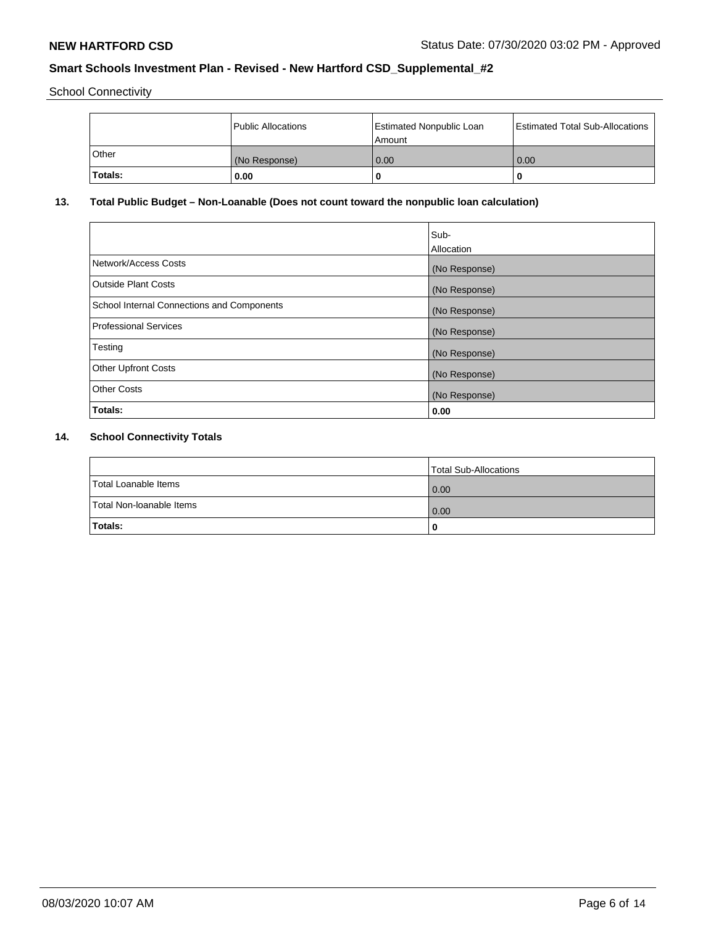School Connectivity

|         | <b>Public Allocations</b> | <b>Estimated Nonpublic Loan</b><br>l Amount i | Estimated Total Sub-Allocations |
|---------|---------------------------|-----------------------------------------------|---------------------------------|
| ⊺Other  | (No Response)             | 0.00                                          | 0.00                            |
| Totals: | 0.00                      | 0                                             | u                               |

## **13. Total Public Budget – Non-Loanable (Does not count toward the nonpublic loan calculation)**

|                                                   | Sub-<br>Allocation |
|---------------------------------------------------|--------------------|
|                                                   |                    |
| Network/Access Costs                              | (No Response)      |
| <b>Outside Plant Costs</b>                        | (No Response)      |
| <b>School Internal Connections and Components</b> | (No Response)      |
| Professional Services                             | (No Response)      |
| Testing                                           | (No Response)      |
| <b>Other Upfront Costs</b>                        | (No Response)      |
| <b>Other Costs</b>                                | (No Response)      |
| <b>Totals:</b>                                    | 0.00               |

# **14. School Connectivity Totals**

|                          | Total Sub-Allocations |
|--------------------------|-----------------------|
| Total Loanable Items     | 0.00                  |
| Total Non-Ioanable Items | 0.00                  |
| Totals:                  | 0                     |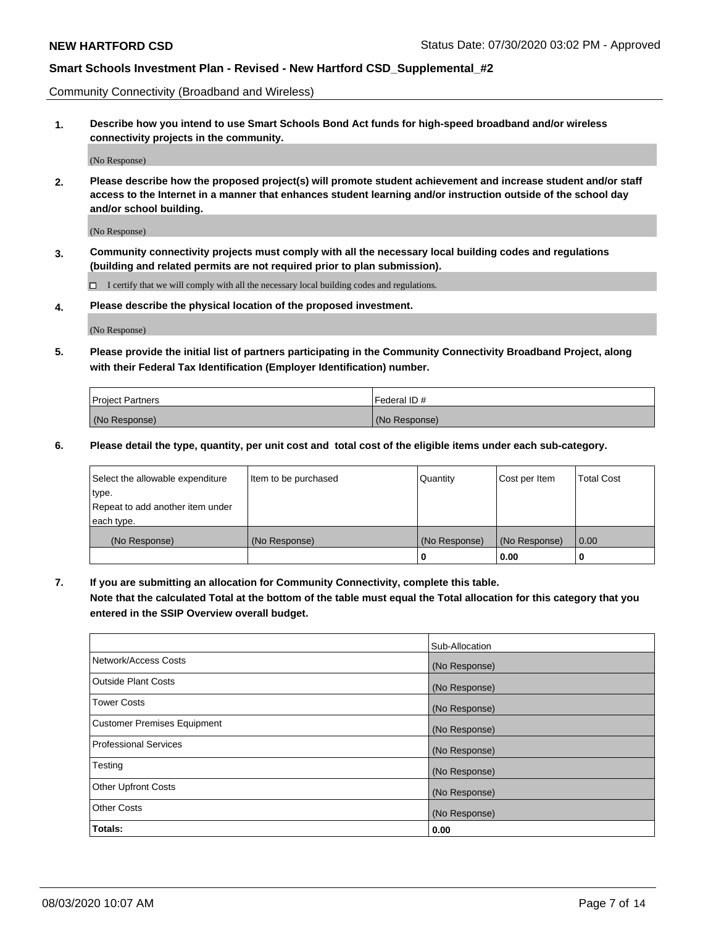Community Connectivity (Broadband and Wireless)

**1. Describe how you intend to use Smart Schools Bond Act funds for high-speed broadband and/or wireless connectivity projects in the community.**

(No Response)

**2. Please describe how the proposed project(s) will promote student achievement and increase student and/or staff access to the Internet in a manner that enhances student learning and/or instruction outside of the school day and/or school building.**

(No Response)

**3. Community connectivity projects must comply with all the necessary local building codes and regulations (building and related permits are not required prior to plan submission).**

 $\Box$  I certify that we will comply with all the necessary local building codes and regulations.

**4. Please describe the physical location of the proposed investment.**

(No Response)

**5. Please provide the initial list of partners participating in the Community Connectivity Broadband Project, along with their Federal Tax Identification (Employer Identification) number.**

| <b>Project Partners</b> | l Federal ID # |
|-------------------------|----------------|
| (No Response)           | (No Response)  |

**6. Please detail the type, quantity, per unit cost and total cost of the eligible items under each sub-category.**

| Select the allowable expenditure | Item to be purchased | Quantity      | Cost per Item | <b>Total Cost</b> |
|----------------------------------|----------------------|---------------|---------------|-------------------|
| type.                            |                      |               |               |                   |
| Repeat to add another item under |                      |               |               |                   |
| each type.                       |                      |               |               |                   |
| (No Response)                    | (No Response)        | (No Response) | (No Response) | 0.00              |
|                                  |                      | o             | 0.00          |                   |

**7. If you are submitting an allocation for Community Connectivity, complete this table.**

**Note that the calculated Total at the bottom of the table must equal the Total allocation for this category that you entered in the SSIP Overview overall budget.**

|                                    | Sub-Allocation |
|------------------------------------|----------------|
| Network/Access Costs               | (No Response)  |
| Outside Plant Costs                | (No Response)  |
| <b>Tower Costs</b>                 | (No Response)  |
| <b>Customer Premises Equipment</b> | (No Response)  |
| <b>Professional Services</b>       | (No Response)  |
| Testing                            | (No Response)  |
| <b>Other Upfront Costs</b>         | (No Response)  |
| <b>Other Costs</b>                 | (No Response)  |
| Totals:                            | 0.00           |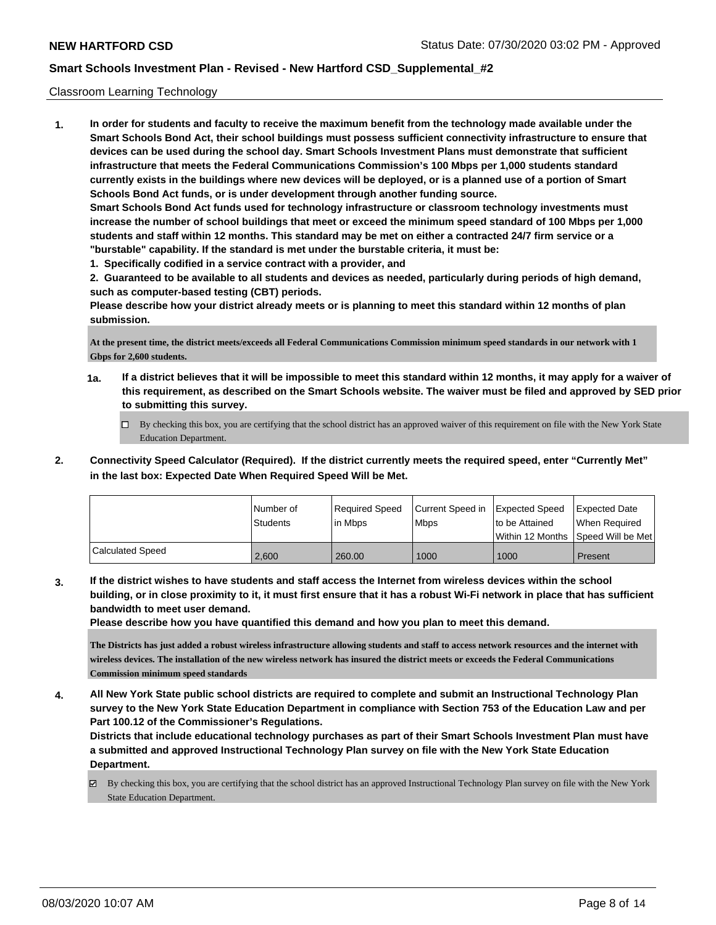### Classroom Learning Technology

**1. In order for students and faculty to receive the maximum benefit from the technology made available under the Smart Schools Bond Act, their school buildings must possess sufficient connectivity infrastructure to ensure that devices can be used during the school day. Smart Schools Investment Plans must demonstrate that sufficient infrastructure that meets the Federal Communications Commission's 100 Mbps per 1,000 students standard currently exists in the buildings where new devices will be deployed, or is a planned use of a portion of Smart Schools Bond Act funds, or is under development through another funding source. Smart Schools Bond Act funds used for technology infrastructure or classroom technology investments must increase the number of school buildings that meet or exceed the minimum speed standard of 100 Mbps per 1,000 students and staff within 12 months. This standard may be met on either a contracted 24/7 firm service or a "burstable" capability. If the standard is met under the burstable criteria, it must be:**

**1. Specifically codified in a service contract with a provider, and**

**2. Guaranteed to be available to all students and devices as needed, particularly during periods of high demand, such as computer-based testing (CBT) periods.**

**Please describe how your district already meets or is planning to meet this standard within 12 months of plan submission.**

**At the present time, the district meets/exceeds all Federal Communications Commission minimum speed standards in our network with 1 Gbps for 2,600 students.**

- **1a. If a district believes that it will be impossible to meet this standard within 12 months, it may apply for a waiver of this requirement, as described on the Smart Schools website. The waiver must be filed and approved by SED prior to submitting this survey.**
	- By checking this box, you are certifying that the school district has an approved waiver of this requirement on file with the New York State Education Department.
- **2. Connectivity Speed Calculator (Required). If the district currently meets the required speed, enter "Currently Met" in the last box: Expected Date When Required Speed Will be Met.**

|                  | l Number of<br>Students | Required Speed<br>l in Mbps | Current Speed in Expected Speed<br>l Mbps | to be Attained | <b>Expected Date</b><br>When Required<br>Within 12 Months ISpeed Will be Met l |
|------------------|-------------------------|-----------------------------|-------------------------------------------|----------------|--------------------------------------------------------------------------------|
| Calculated Speed | 2.600                   | 260.00                      | 1000                                      | 1000           | Present                                                                        |

**3. If the district wishes to have students and staff access the Internet from wireless devices within the school building, or in close proximity to it, it must first ensure that it has a robust Wi-Fi network in place that has sufficient bandwidth to meet user demand.**

**Please describe how you have quantified this demand and how you plan to meet this demand.**

**The Districts has just added a robust wireless infrastructure allowing students and staff to access network resources and the internet with wireless devices. The installation of the new wireless network has insured the district meets or exceeds the Federal Communications Commission minimum speed standards**

**4. All New York State public school districts are required to complete and submit an Instructional Technology Plan survey to the New York State Education Department in compliance with Section 753 of the Education Law and per Part 100.12 of the Commissioner's Regulations.**

**Districts that include educational technology purchases as part of their Smart Schools Investment Plan must have a submitted and approved Instructional Technology Plan survey on file with the New York State Education Department.**

 $\boxtimes$  By checking this box, you are certifying that the school district has an approved Instructional Technology Plan survey on file with the New York State Education Department.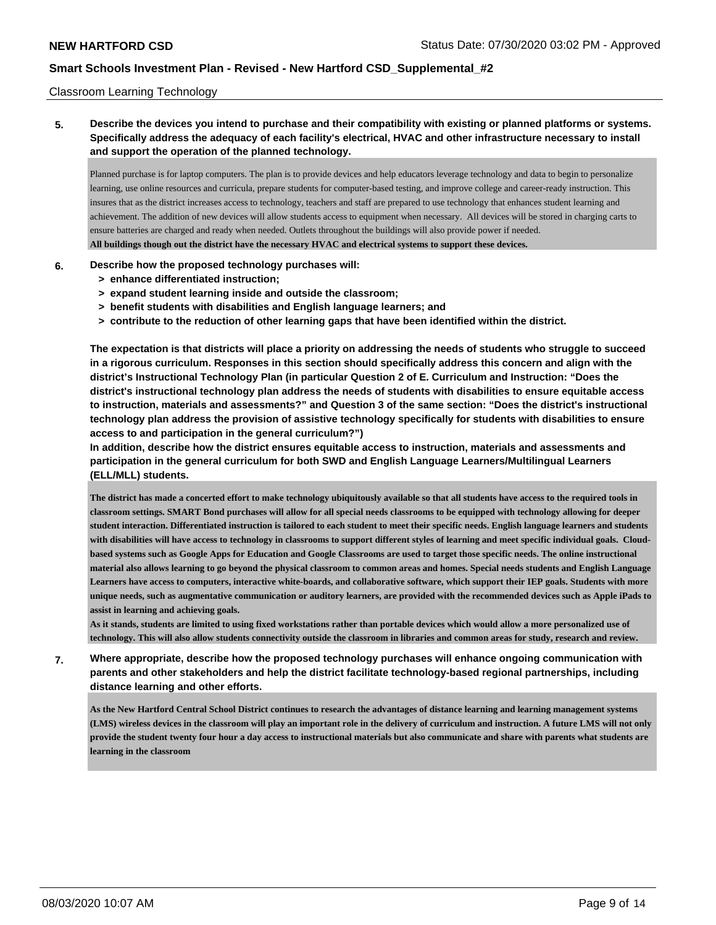### Classroom Learning Technology

**5. Describe the devices you intend to purchase and their compatibility with existing or planned platforms or systems. Specifically address the adequacy of each facility's electrical, HVAC and other infrastructure necessary to install and support the operation of the planned technology.**

Planned purchase is for laptop computers. The plan is to provide devices and help educators leverage technology and data to begin to personalize learning, use online resources and curricula, prepare students for computer-based testing, and improve college and career-ready instruction. This insures that as the district increases access to technology, teachers and staff are prepared to use technology that enhances student learning and achievement. The addition of new devices will allow students access to equipment when necessary. All devices will be stored in charging carts to ensure batteries are charged and ready when needed. Outlets throughout the buildings will also provide power if needed. **All buildings though out the district have the necessary HVAC and electrical systems to support these devices.**

### **6. Describe how the proposed technology purchases will:**

- **> enhance differentiated instruction;**
- **> expand student learning inside and outside the classroom;**
- **> benefit students with disabilities and English language learners; and**
- **> contribute to the reduction of other learning gaps that have been identified within the district.**

**The expectation is that districts will place a priority on addressing the needs of students who struggle to succeed in a rigorous curriculum. Responses in this section should specifically address this concern and align with the district's Instructional Technology Plan (in particular Question 2 of E. Curriculum and Instruction: "Does the district's instructional technology plan address the needs of students with disabilities to ensure equitable access to instruction, materials and assessments?" and Question 3 of the same section: "Does the district's instructional technology plan address the provision of assistive technology specifically for students with disabilities to ensure access to and participation in the general curriculum?")**

**In addition, describe how the district ensures equitable access to instruction, materials and assessments and participation in the general curriculum for both SWD and English Language Learners/Multilingual Learners (ELL/MLL) students.**

**The district has made a concerted effort to make technology ubiquitously available so that all students have access to the required tools in classroom settings. SMART Bond purchases will allow for all special needs classrooms to be equipped with technology allowing for deeper student interaction. Differentiated instruction is tailored to each student to meet their specific needs. English language learners and students with disabilities will have access to technology in classrooms to support different styles of learning and meet specific individual goals. Cloudbased systems such as Google Apps for Education and Google Classrooms are used to target those specific needs. The online instructional material also allows learning to go beyond the physical classroom to common areas and homes. Special needs students and English Language Learners have access to computers, interactive white-boards, and collaborative software, which support their IEP goals. Students with more unique needs, such as augmentative communication or auditory learners, are provided with the recommended devices such as Apple iPads to assist in learning and achieving goals.**

**As it stands, students are limited to using fixed workstations rather than portable devices which would allow a more personalized use of technology. This will also allow students connectivity outside the classroom in libraries and common areas for study, research and review.**

**7. Where appropriate, describe how the proposed technology purchases will enhance ongoing communication with parents and other stakeholders and help the district facilitate technology-based regional partnerships, including distance learning and other efforts.**

**As the New Hartford Central School District continues to research the advantages of distance learning and learning management systems (LMS) wireless devices in the classroom will play an important role in the delivery of curriculum and instruction. A future LMS will not only provide the student twenty four hour a day access to instructional materials but also communicate and share with parents what students are learning in the classroom**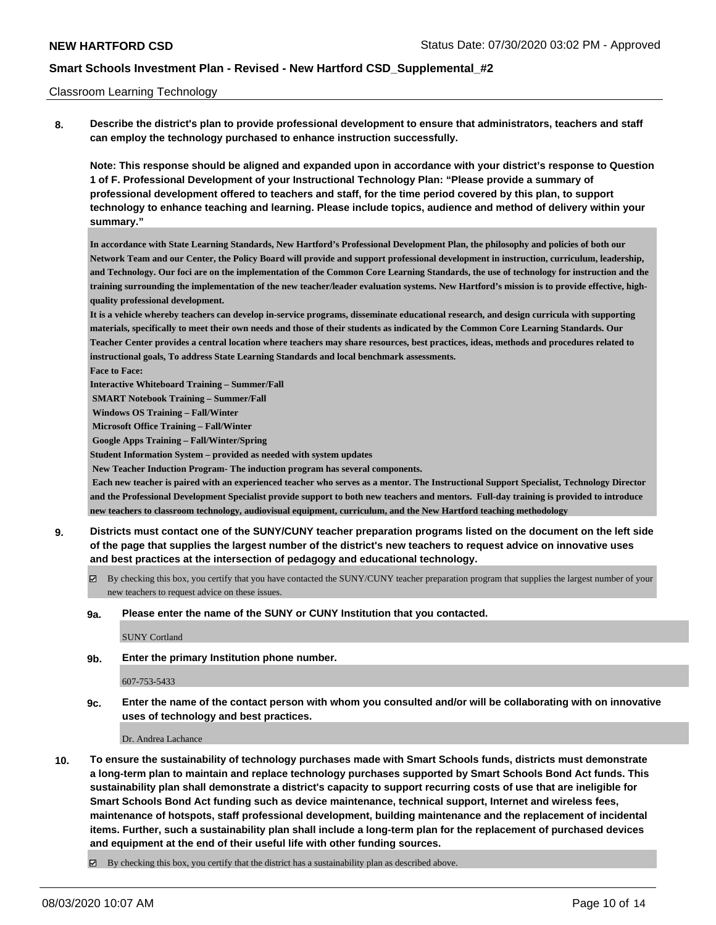### Classroom Learning Technology

**8. Describe the district's plan to provide professional development to ensure that administrators, teachers and staff can employ the technology purchased to enhance instruction successfully.**

**Note: This response should be aligned and expanded upon in accordance with your district's response to Question 1 of F. Professional Development of your Instructional Technology Plan: "Please provide a summary of professional development offered to teachers and staff, for the time period covered by this plan, to support technology to enhance teaching and learning. Please include topics, audience and method of delivery within your summary."**

**In accordance with State Learning Standards, New Hartford's Professional Development Plan, the philosophy and policies of both our Network Team and our Center, the Policy Board will provide and support professional development in instruction, curriculum, leadership, and Technology. Our foci are on the implementation of the Common Core Learning Standards, the use of technology for instruction and the training surrounding the implementation of the new teacher/leader evaluation systems. New Hartford's mission is to provide effective, highquality professional development.**

**It is a vehicle whereby teachers can develop in-service programs, disseminate educational research, and design curricula with supporting materials, specifically to meet their own needs and those of their students as indicated by the Common Core Learning Standards. Our Teacher Center provides a central location where teachers may share resources, best practices, ideas, methods and procedures related to instructional goals, To address State Learning Standards and local benchmark assessments.**

**Face to Face:**

**Interactive Whiteboard Training – Summer/Fall**

 **SMART Notebook Training – Summer/Fall**

 **Windows OS Training – Fall/Winter**

 **Microsoft Office Training – Fall/Winter**

 **Google Apps Training – Fall/Winter/Spring**

**Student Information System – provided as needed with system updates**

 **New Teacher Induction Program- The induction program has several components.**

 **Each new teacher is paired with an experienced teacher who serves as a mentor. The Instructional Support Specialist, Technology Director and the Professional Development Specialist provide support to both new teachers and mentors. Full-day training is provided to introduce new teachers to classroom technology, audiovisual equipment, curriculum, and the New Hartford teaching methodology**

- **9. Districts must contact one of the SUNY/CUNY teacher preparation programs listed on the document on the left side of the page that supplies the largest number of the district's new teachers to request advice on innovative uses and best practices at the intersection of pedagogy and educational technology.**
	- By checking this box, you certify that you have contacted the SUNY/CUNY teacher preparation program that supplies the largest number of your new teachers to request advice on these issues.

### **9a. Please enter the name of the SUNY or CUNY Institution that you contacted.**

SUNY Cortland

**9b. Enter the primary Institution phone number.**

#### 607-753-5433

**9c. Enter the name of the contact person with whom you consulted and/or will be collaborating with on innovative uses of technology and best practices.**

Dr. Andrea Lachance

**10. To ensure the sustainability of technology purchases made with Smart Schools funds, districts must demonstrate a long-term plan to maintain and replace technology purchases supported by Smart Schools Bond Act funds. This sustainability plan shall demonstrate a district's capacity to support recurring costs of use that are ineligible for Smart Schools Bond Act funding such as device maintenance, technical support, Internet and wireless fees, maintenance of hotspots, staff professional development, building maintenance and the replacement of incidental items. Further, such a sustainability plan shall include a long-term plan for the replacement of purchased devices and equipment at the end of their useful life with other funding sources.**

 $\boxtimes$  By checking this box, you certify that the district has a sustainability plan as described above.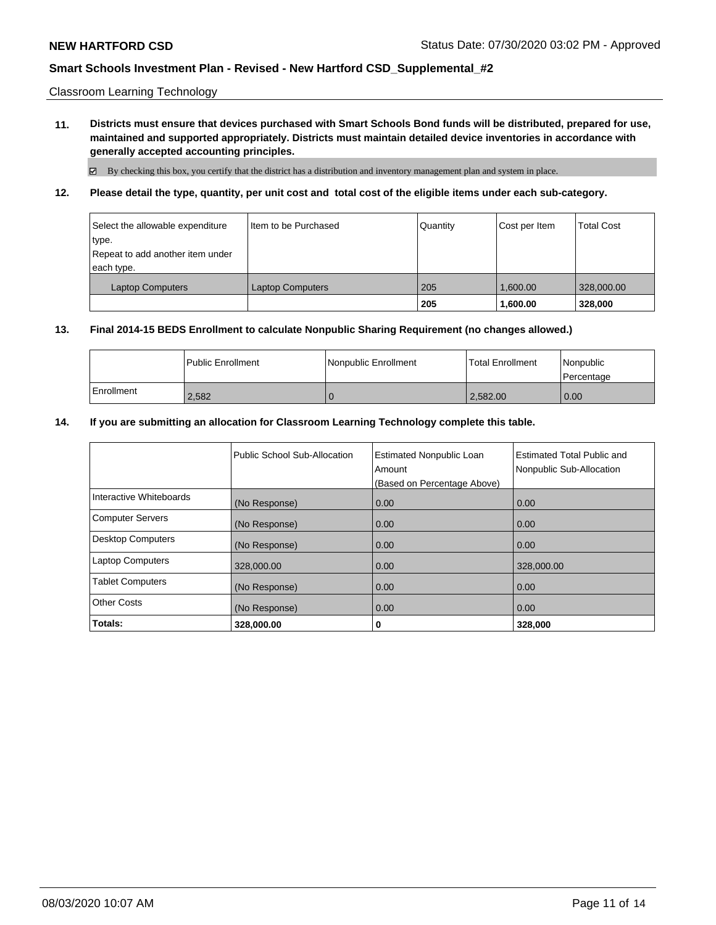Classroom Learning Technology

**11. Districts must ensure that devices purchased with Smart Schools Bond funds will be distributed, prepared for use, maintained and supported appropriately. Districts must maintain detailed device inventories in accordance with generally accepted accounting principles.**

By checking this box, you certify that the district has a distribution and inventory management plan and system in place.

**12. Please detail the type, quantity, per unit cost and total cost of the eligible items under each sub-category.**

| Select the allowable expenditure<br>∣type.<br>Repeat to add another item under<br>each type. | Item to be Purchased    | Quantity | Cost per Item | <b>Total Cost</b> |
|----------------------------------------------------------------------------------------------|-------------------------|----------|---------------|-------------------|
| <b>Laptop Computers</b>                                                                      | <b>Laptop Computers</b> | 205      | 1.600.00      | 328,000.00        |
|                                                                                              |                         | 205      | 1,600.00      | 328,000           |

### **13. Final 2014-15 BEDS Enrollment to calculate Nonpublic Sharing Requirement (no changes allowed.)**

|            | <b>I Public Enrollment</b> | l Nonpublic Enrollment | <b>Total Enrollment</b> | l Nonpublic<br>l Percentage |
|------------|----------------------------|------------------------|-------------------------|-----------------------------|
| Enrollment | 2,582                      |                        | 2,582.00                | 0.00                        |

### **14. If you are submitting an allocation for Classroom Learning Technology complete this table.**

|                          | Public School Sub-Allocation | <b>Estimated Nonpublic Loan</b><br>Amount<br>(Based on Percentage Above) | <b>Estimated Total Public and</b><br>Nonpublic Sub-Allocation |
|--------------------------|------------------------------|--------------------------------------------------------------------------|---------------------------------------------------------------|
| Interactive Whiteboards  | (No Response)                | 0.00                                                                     | 0.00                                                          |
| <b>Computer Servers</b>  | (No Response)                | 0.00                                                                     | 0.00                                                          |
| <b>Desktop Computers</b> | (No Response)                | 0.00                                                                     | 0.00                                                          |
| <b>Laptop Computers</b>  | 328,000.00                   | 0.00                                                                     | 328,000.00                                                    |
| <b>Tablet Computers</b>  | (No Response)                | 0.00                                                                     | 0.00                                                          |
| <b>Other Costs</b>       | (No Response)                | 0.00                                                                     | 0.00                                                          |
| Totals:                  | 328,000.00                   | 0                                                                        | 328,000                                                       |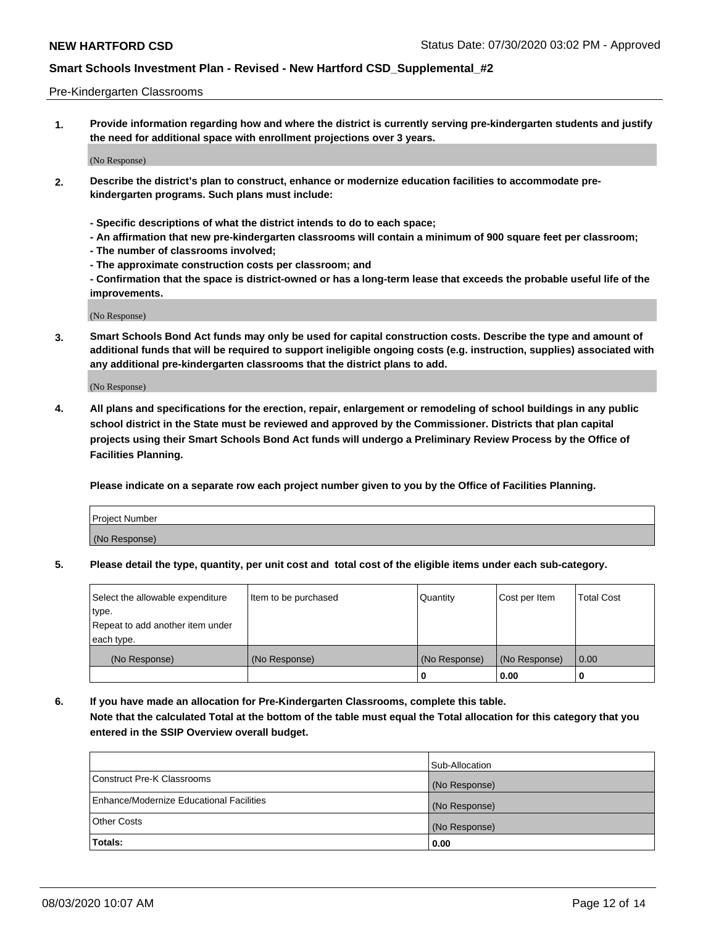### Pre-Kindergarten Classrooms

**1. Provide information regarding how and where the district is currently serving pre-kindergarten students and justify the need for additional space with enrollment projections over 3 years.**

(No Response)

- **2. Describe the district's plan to construct, enhance or modernize education facilities to accommodate prekindergarten programs. Such plans must include:**
	- **Specific descriptions of what the district intends to do to each space;**
	- **An affirmation that new pre-kindergarten classrooms will contain a minimum of 900 square feet per classroom;**
	- **The number of classrooms involved;**
	- **The approximate construction costs per classroom; and**
	- **Confirmation that the space is district-owned or has a long-term lease that exceeds the probable useful life of the improvements.**

(No Response)

**3. Smart Schools Bond Act funds may only be used for capital construction costs. Describe the type and amount of additional funds that will be required to support ineligible ongoing costs (e.g. instruction, supplies) associated with any additional pre-kindergarten classrooms that the district plans to add.**

(No Response)

**4. All plans and specifications for the erection, repair, enlargement or remodeling of school buildings in any public school district in the State must be reviewed and approved by the Commissioner. Districts that plan capital projects using their Smart Schools Bond Act funds will undergo a Preliminary Review Process by the Office of Facilities Planning.**

**Please indicate on a separate row each project number given to you by the Office of Facilities Planning.**

| Project Number |  |
|----------------|--|
| (No Response)  |  |
|                |  |

**5. Please detail the type, quantity, per unit cost and total cost of the eligible items under each sub-category.**

| Select the allowable expenditure | Item to be purchased | Quantity      | Cost per Item | <b>Total Cost</b> |
|----------------------------------|----------------------|---------------|---------------|-------------------|
| type.                            |                      |               |               |                   |
| Repeat to add another item under |                      |               |               |                   |
| each type.                       |                      |               |               |                   |
| (No Response)                    | (No Response)        | (No Response) | (No Response) | 0.00              |
|                                  |                      | υ             | 0.00          |                   |

**6. If you have made an allocation for Pre-Kindergarten Classrooms, complete this table. Note that the calculated Total at the bottom of the table must equal the Total allocation for this category that you entered in the SSIP Overview overall budget.**

|                                          | Sub-Allocation |
|------------------------------------------|----------------|
| Construct Pre-K Classrooms               | (No Response)  |
| Enhance/Modernize Educational Facilities | (No Response)  |
| <b>Other Costs</b>                       | (No Response)  |
| Totals:                                  | 0.00           |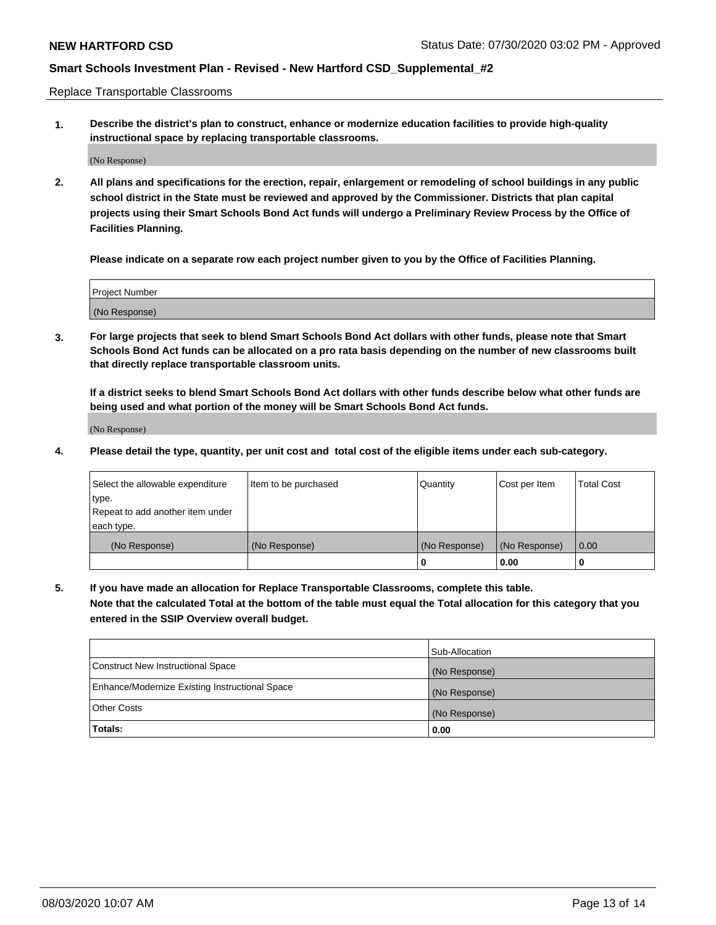Replace Transportable Classrooms

**1. Describe the district's plan to construct, enhance or modernize education facilities to provide high-quality instructional space by replacing transportable classrooms.**

(No Response)

**2. All plans and specifications for the erection, repair, enlargement or remodeling of school buildings in any public school district in the State must be reviewed and approved by the Commissioner. Districts that plan capital projects using their Smart Schools Bond Act funds will undergo a Preliminary Review Process by the Office of Facilities Planning.**

**Please indicate on a separate row each project number given to you by the Office of Facilities Planning.**

| Project Number |  |
|----------------|--|
|                |  |
| (No Response)  |  |

**3. For large projects that seek to blend Smart Schools Bond Act dollars with other funds, please note that Smart Schools Bond Act funds can be allocated on a pro rata basis depending on the number of new classrooms built that directly replace transportable classroom units.**

**If a district seeks to blend Smart Schools Bond Act dollars with other funds describe below what other funds are being used and what portion of the money will be Smart Schools Bond Act funds.**

(No Response)

**4. Please detail the type, quantity, per unit cost and total cost of the eligible items under each sub-category.**

| Select the allowable expenditure | Item to be purchased | Quantity      | Cost per Item | Total Cost |
|----------------------------------|----------------------|---------------|---------------|------------|
| ∣type.                           |                      |               |               |            |
| Repeat to add another item under |                      |               |               |            |
| each type.                       |                      |               |               |            |
| (No Response)                    | (No Response)        | (No Response) | (No Response) | 0.00       |
|                                  |                      | u             | 0.00          |            |

**5. If you have made an allocation for Replace Transportable Classrooms, complete this table. Note that the calculated Total at the bottom of the table must equal the Total allocation for this category that you entered in the SSIP Overview overall budget.**

|                                                | Sub-Allocation |
|------------------------------------------------|----------------|
| Construct New Instructional Space              | (No Response)  |
| Enhance/Modernize Existing Instructional Space | (No Response)  |
| Other Costs                                    | (No Response)  |
| Totals:                                        | 0.00           |